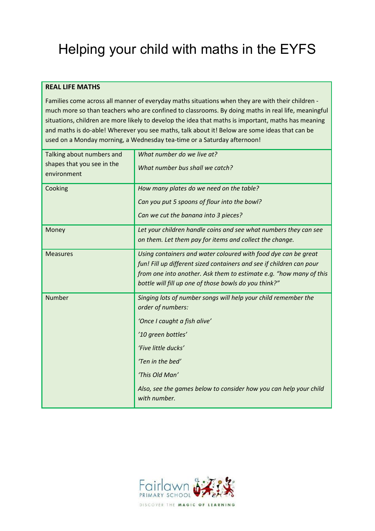# Helping your child with maths in the EYFS

#### **REAL LIFE MATHS**

Families come across all manner of everyday maths situations when they are with their children much more so than teachers who are confined to classrooms. By doing maths in real life, meaningful situations, children are more likely to develop the idea that maths is important, maths has meaning and maths is do-able! Wherever you see maths, talk about it! Below are some ideas that can be used on a Monday morning, a Wednesday tea-time or a Saturday afternoon!

| Talking about numbers and<br>shapes that you see in the<br>environment | What number do we live at?<br>What number bus shall we catch?                       |
|------------------------------------------------------------------------|-------------------------------------------------------------------------------------|
| Cooking                                                                | How many plates do we need on the table?                                            |
|                                                                        | Can you put 5 spoons of flour into the bowl?                                        |
|                                                                        | Can we cut the banana into 3 pieces?                                                |
| Money                                                                  | Let your children handle coins and see what numbers they can see                    |
|                                                                        | on them. Let them pay for items and collect the change.                             |
| <b>Measures</b>                                                        | Using containers and water coloured with food dye can be great                      |
|                                                                        | fun! Fill up different sized containers and see if children can pour                |
|                                                                        | from one into another. Ask them to estimate e.g. "how many of this                  |
|                                                                        | bottle will fill up one of those bowls do you think?"                               |
| Number                                                                 | Singing lots of number songs will help your child remember the<br>order of numbers: |
|                                                                        | 'Once I caught a fish alive'                                                        |
|                                                                        | '10 green bottles'                                                                  |
|                                                                        | 'Five little ducks'                                                                 |
|                                                                        | 'Ten in the bed'                                                                    |
|                                                                        | 'This Old Man'                                                                      |
|                                                                        | Also, see the games below to consider how you can help your child<br>with number.   |

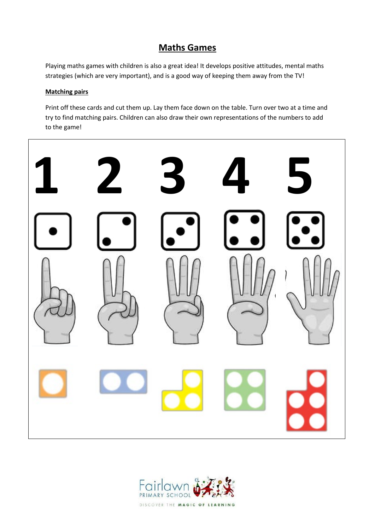## **Maths Games**

Playing maths games with children is also a great idea! It develops positive attitudes, mental maths strategies (which are very important), and is a good way of keeping them away from the TV!

#### **Matching pairs**

Print off these cards and cut them up. Lay them face down on the table. Turn over two at a time and try to find matching pairs. Children can also draw their own representations of the numbers to add to the game!



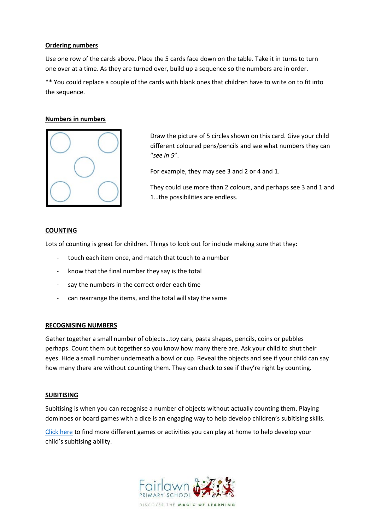#### **Ordering numbers**

Use one row of the cards above. Place the 5 cards face down on the table. Take it in turns to turn one over at a time. As they are turned over, build up a sequence so the numbers are in order.

\*\* You could replace a couple of the cards with blank ones that children have to write on to fit into the sequence.

#### **Numbers in numbers**



Draw the picture of 5 circles shown on this card. Give your child different coloured pens/pencils and see what numbers they can "*see in 5*".

For example, they may see 3 and 2 or 4 and 1.

They could use more than 2 colours, and perhaps see 3 and 1 and 1…the possibilities are endless.

#### **COUNTING**

Lots of counting is great for children. Things to look out for include making sure that they:

- touch each item once, and match that touch to a number
- know that the final number they say is the total
- say the numbers in the correct order each time
- can rearrange the items, and the total will stay the same

#### **RECOGNISING NUMBERS**

Gather together a small number of objects…toy cars, pasta shapes, pencils, coins or pebbles perhaps. Count them out together so you know how many there are. Ask your child to shut their eyes. Hide a small number underneath a bowl or cup. Reveal the objects and see if your child can say how many there are without counting them. They can check to see if they're right by counting.

#### **SUBITISING**

Subitising is when you can recognise a number of objects without actually counting them. Playing dominoes or board games with a dice is an engaging way to help develop children's subitising skills.

[Click here](https://nrich.maths.org/14004) to find more different games or activities you can play at home to help develop your child's subitising ability.